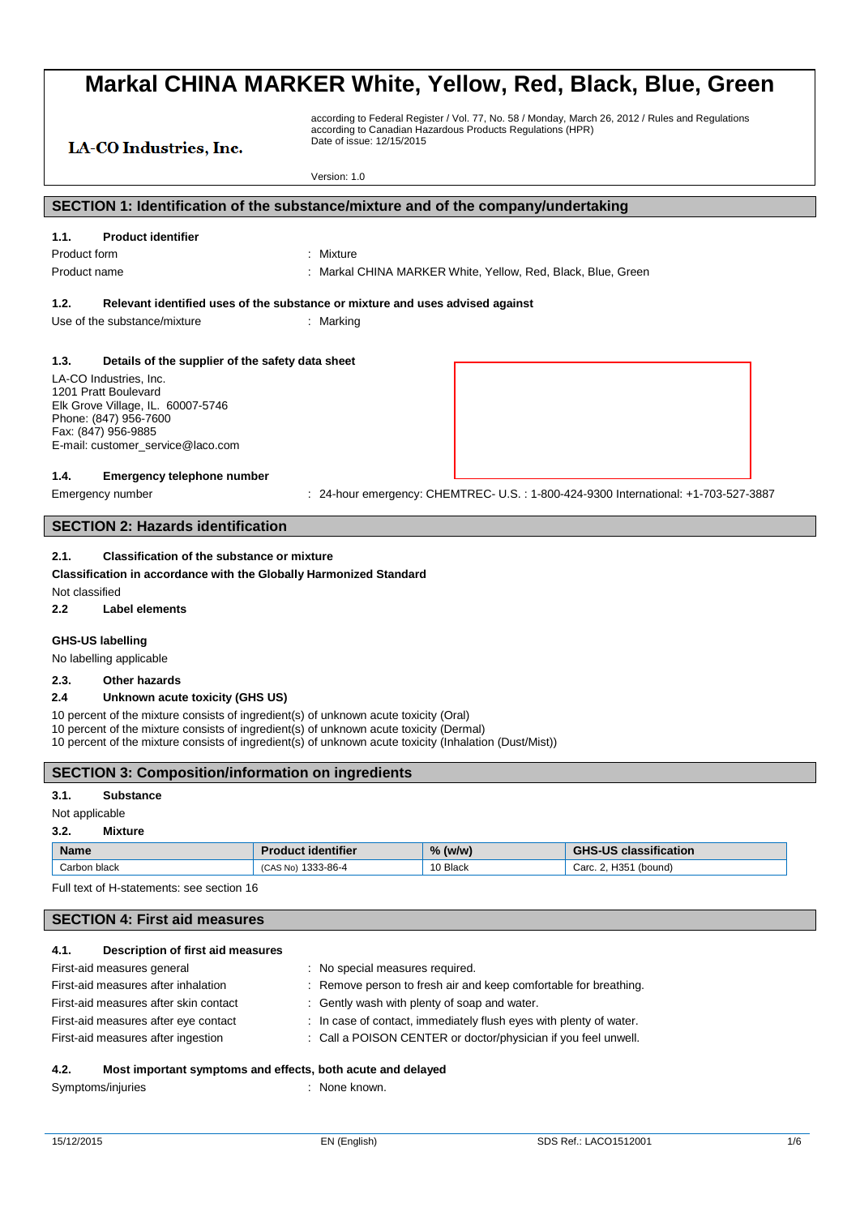# LA-CO Industries, Inc.

according to Federal Register / Vol. 77, No. 58 / Monday, March 26, 2012 / Rules and Regulations according to Canadian Hazardous Products Regulations (HPR) Date of issue: 12/15/2015

Version: 1.0

#### **SECTION 1: Identification of the substance/mixture and of the company/undertaking**

#### **1.1. Product identifier**

Product form : Nixture Product name **in the state of the CHINA MARKER White, Yellow, Red, Black, Blue, Green** 

#### **1.2. Relevant identified uses of the substance or mixture and uses advised against**

Use of the substance/mixture in the substance in the set of the substance of the substance in the set of the substance of the substance of the substance of the substance of the substance of the substance of the substance o

#### **1.3. Details of the supplier of the safety data sheet**

LA-CO Industries, Inc. 1201 Pratt Boulevard Elk Grove Village, IL. 60007-5746 Phone: (847) 956-7600 Fax: (847) 956-9885 E-mail: customer\_service@laco.com

#### **1.4. Emergency telephone number**

Emergency number : 24-hour emergency: CHEMTREC- U.S.: 1-800-424-9300 International: +1-703-527-3887

### **SECTION 2: Hazards identification**

#### **2.1. Classification of the substance or mixture**

**Classification in accordance with the Globally Harmonized Standard**

Not classified

**2.2 Label elements**

#### **GHS-US labelling**

No labelling applicable

#### **2.3. Other hazards**

#### **2.4 Unknown acute toxicity (GHS US)**

10 percent of the mixture consists of ingredient(s) of unknown acute toxicity (Oral)

10 percent of the mixture consists of ingredient(s) of unknown acute toxicity (Dermal)

10 percent of the mixture consists of ingredient(s) of unknown acute toxicity (Inhalation (Dust/Mist))

#### **SECTION 3: Composition/information on ingredients**

#### **3.1. Substance**

#### Not applicable

#### **3.2. Mixture**

| <b>Name</b>  | . identifier        | O(<br>. (w/w<br>70 | classification<br>$\overline{11}$<br>ר טי<br>ு⊓⊾ |
|--------------|---------------------|--------------------|--------------------------------------------------|
| Carbon black | 1333-86-4<br>AS No) | 10 Black           | H351<br>(bound)<br>Carc.<br>. .                  |

Full text of H-statements: see section 16

#### **SECTION 4: First aid measures**

| 4.1. | Description of first aid measures |  |  |
|------|-----------------------------------|--|--|
|------|-----------------------------------|--|--|

| First-aid measures general            | : No special measures required.                                    |
|---------------------------------------|--------------------------------------------------------------------|
| First-aid measures after inhalation   | : Remove person to fresh air and keep comfortable for breathing.   |
| First-aid measures after skin contact | : Gently wash with plenty of soap and water.                       |
| First-aid measures after eye contact  | : In case of contact, immediately flush eyes with plenty of water. |
| First-aid measures after ingestion    | : Call a POISON CENTER or doctor/physician if you feel unwell.     |

#### **4.2. Most important symptoms and effects, both acute and delayed**

Symptoms/injuries : None known.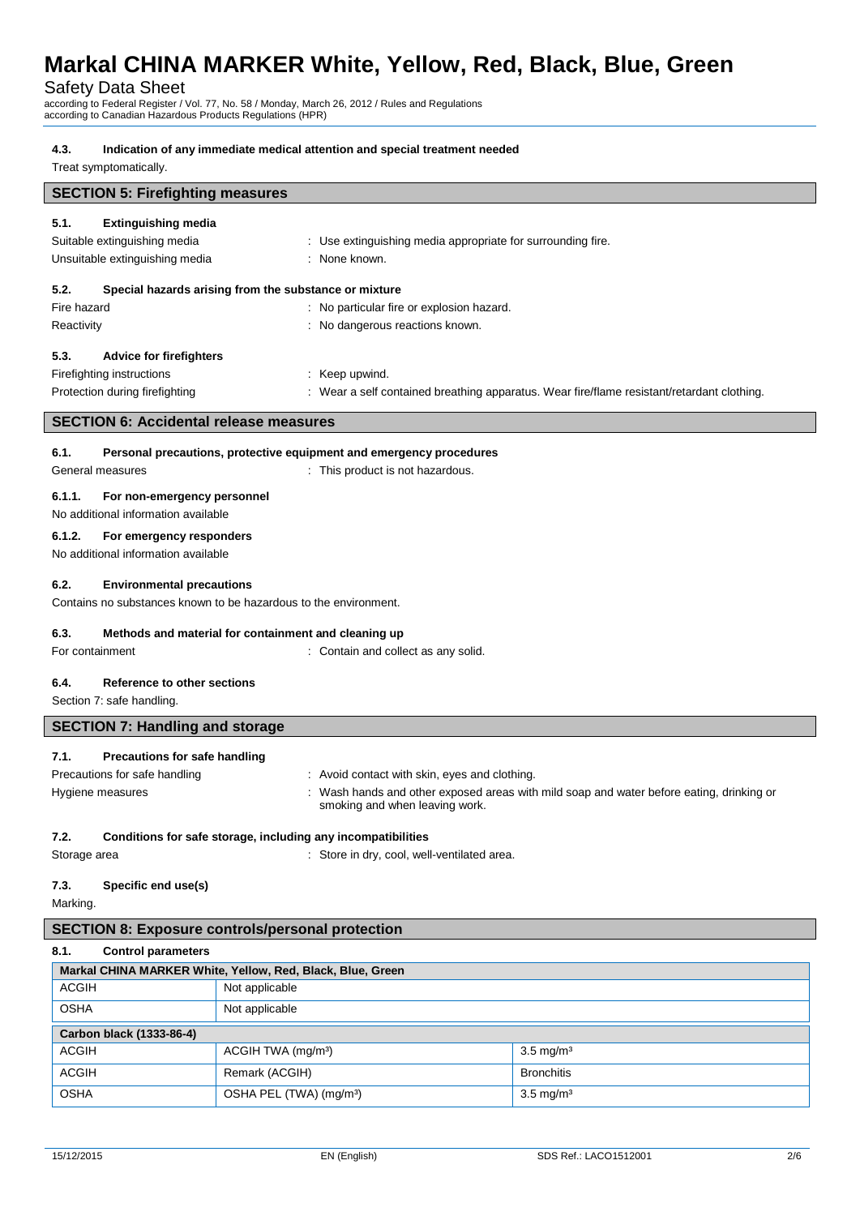#### Safety Data Sheet

according to Federal Register / Vol. 77, No. 58 / Monday, March 26, 2012 / Rules and Regulations according to Canadian Hazardous Products Regulations (HPR)

#### **4.3. Indication of any immediate medical attention and special treatment needed**

Treat symptomatically.

# **SECTION 5: Firefighting measures**

# **5.1. Extinguishing media** Suitable extinguishing media  $\qquad \qquad : \qquad$  Use extinguishing media appropriate for surrounding fire. Unsuitable extinguishing media : None known. **5.2. Special hazards arising from the substance or mixture** Fire hazard **in the state of the state of the state of the state of the state of the state of the state of the state of the state of the state of the state of the state of the state of the state of the state of the state o** Reactivity **Example 20** Reactivity **Reactivity Reactivity Reactivity Reactions** known. **5.3. Advice for firefighters** Firefighting instructions : Keep upwind. Protection during firefighting **intercontagata in the Contained Steathing apparatus.** Wear fire/flame resistant/retardant clothing. **SECTION 6: Accidental release measures**

### **6.1. Personal precautions, protective equipment and emergency procedures**

#### General measures **Seneral measures in the contract of the Contract Seneral measures**  $\cdot$  This product is not hazardous.

#### **6.1.1. For non-emergency personnel**

No additional information available

#### **6.1.2. For emergency responders**

No additional information available

#### **6.2. Environmental precautions**

Contains no substances known to be hazardous to the environment.

#### **6.3. Methods and material for containment and cleaning up**

For containment : Contain and collect as any solid.

# **6.4. Reference to other sections**

Section 7: safe handling.

# **SECTION 7: Handling and storage**

#### **7.1. Precautions for safe handling**

- Precautions for safe handling : Avoid contact with skin, eyes and clothing.
- Hygiene measures **induced areas in the state of the state of the state of the state of the state of the state of the state of the state of the Hygiene measures in the state of the state of the state of the state of the sta** smoking and when leaving work.

#### **7.2. Conditions for safe storage, including any incompatibilities**

Storage area : Store in dry, cool, well-ventilated area.

# **7.3. Specific end use(s)**

Marking.

#### **SECTION 8: Exposure controls/personal protection**

#### **8.1. Control parameters**

| Markal CHINA MARKER White, Yellow, Red, Black, Blue, Green |                                     |                      |  |  |
|------------------------------------------------------------|-------------------------------------|----------------------|--|--|
| <b>ACGIH</b>                                               | Not applicable                      |                      |  |  |
| <b>OSHA</b>                                                | Not applicable                      |                      |  |  |
| Carbon black (1333-86-4)                                   |                                     |                      |  |  |
| <b>ACGIH</b>                                               | ACGIH TWA (mg/m <sup>3</sup> )      | $3.5 \text{ mg/m}^3$ |  |  |
| <b>ACGIH</b>                                               | Remark (ACGIH)                      | <b>Bronchitis</b>    |  |  |
| <b>OSHA</b>                                                | OSHA PEL (TWA) (mg/m <sup>3</sup> ) | $3.5 \text{ mg/m}^3$ |  |  |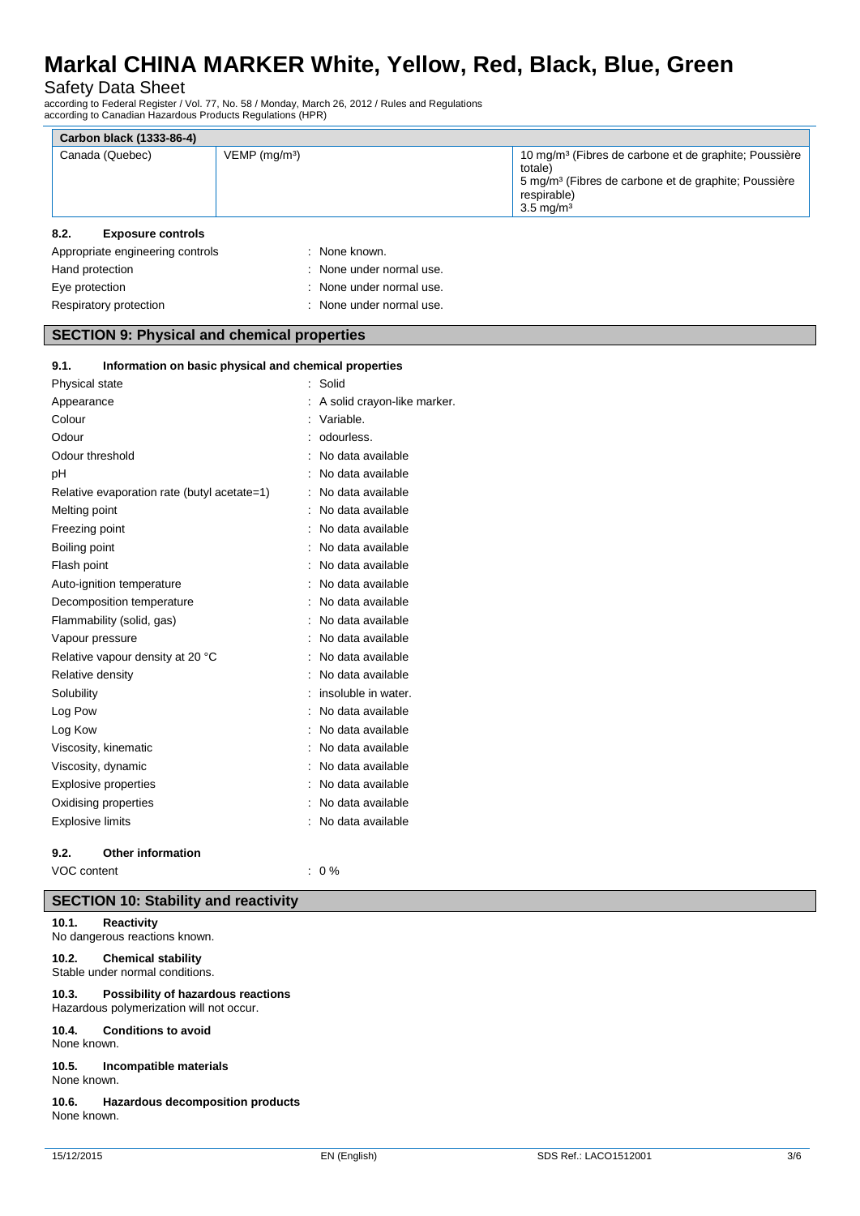### Safety Data Sheet

according to Federal Register / Vol. 77, No. 58 / Monday, March 26, 2012 / Rules and Regulations according to Canadian Hazardous Products Regulations (HPR)

|      | Carbon black (1333-86-4) |                             |                                                                                                                                                                                         |
|------|--------------------------|-----------------------------|-----------------------------------------------------------------------------------------------------------------------------------------------------------------------------------------|
|      | Canada (Quebec)          | $VEMP$ (mg/m <sup>3</sup> ) | 10 mg/m <sup>3</sup> (Fibres de carbone et de graphite; Poussière<br>totale)<br>5 mg/m <sup>3</sup> (Fibres de carbone et de graphite; Poussière<br>respirable)<br>$3.5 \text{ mg/m}^3$ |
| 8.2. | <b>Exposure controls</b> |                             |                                                                                                                                                                                         |

| Appropriate engineering controls | : None known.            |
|----------------------------------|--------------------------|
| Hand protection                  | : None under normal use. |
| Eye protection                   | : None under normal use. |
| Respiratory protection           | : None under normal use. |

#### **SECTION 9: Physical and chemical properties**

| Information on basic physical and chemical properties<br>9.1. |                             |
|---------------------------------------------------------------|-----------------------------|
| Physical state                                                | : Solid                     |
| Appearance                                                    | A solid crayon-like marker. |
| Colour                                                        | Variable.                   |
| Odour                                                         | odourless.                  |
| Odour threshold                                               | No data available           |
| рH                                                            | No data available           |
| Relative evaporation rate (butyl acetate=1)                   | No data available           |
| Melting point                                                 | No data available           |
| Freezing point                                                | No data available           |
| Boiling point                                                 | No data available           |
| Flash point                                                   | No data available           |
| Auto-ignition temperature                                     | No data available           |
| Decomposition temperature                                     | No data available           |
| Flammability (solid, gas)                                     | No data available           |
| Vapour pressure                                               | No data available           |
| Relative vapour density at 20 °C                              | No data available           |
| Relative density                                              | No data available           |
| Solubility                                                    | insoluble in water.         |
| Log Pow                                                       | No data available           |
| Log Kow                                                       | No data available           |
| Viscosity, kinematic                                          | No data available           |
| Viscosity, dynamic                                            | No data available           |
| <b>Explosive properties</b>                                   | No data available           |
| Oxidising properties                                          | No data available           |
| <b>Explosive limits</b>                                       | No data available           |
|                                                               |                             |

### **9.2. Other information**

VOC content : 0 %

# **SECTION 10: Stability and reactivity**

### **10.1. Reactivity**

No dangerous reactions known.

#### **10.2. Chemical stability** Stable under normal conditions.

# **10.3. Possibility of hazardous reactions**

Hazardous polymerization will not occur. **10.4. Conditions to avoid**

# None known.

**10.5. Incompatible materials** None known.

**10.6. Hazardous decomposition products** None known.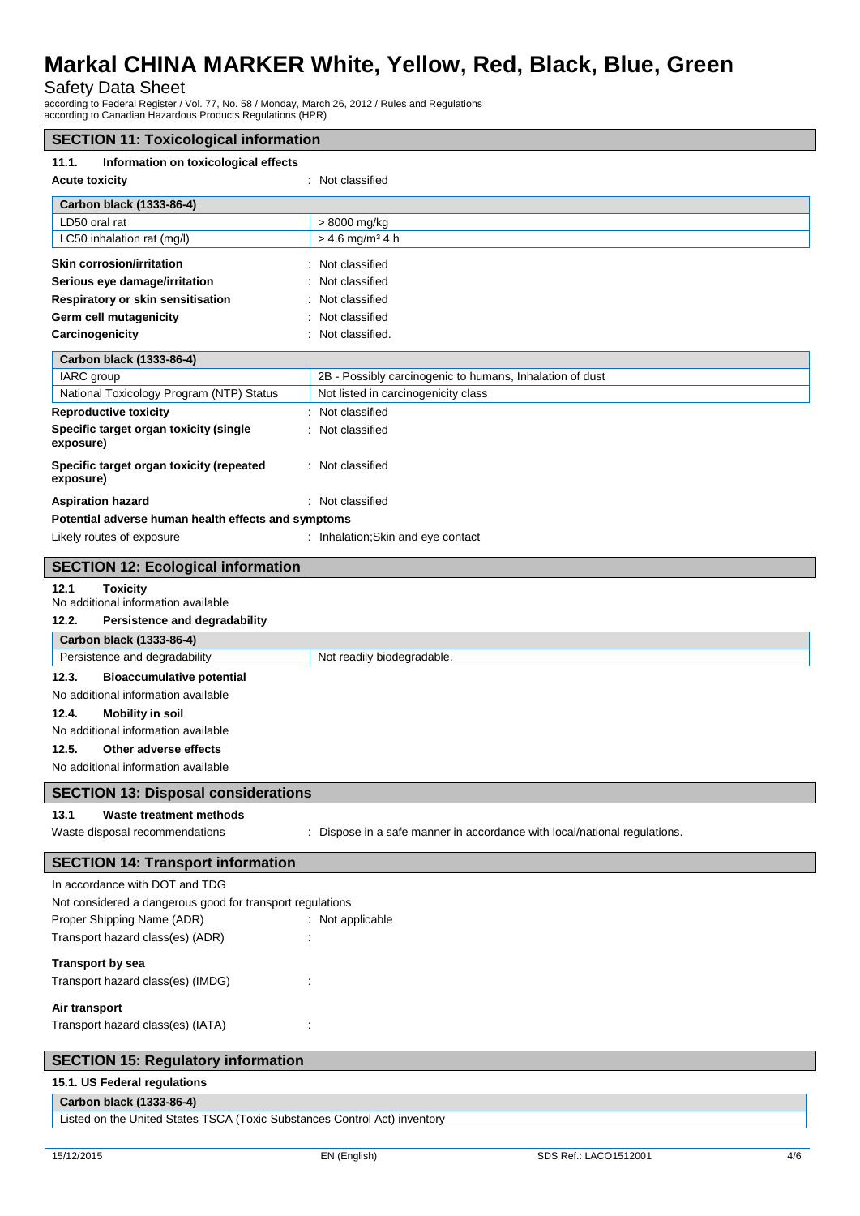# Safety Data Sheet

according to Federal Register / Vol. 77, No. 58 / Monday, March 26, 2012 / Rules and Regulations according to Canadian Hazardous Products Regulations (HPR)

| <b>SECTION 11: Toxicological information</b>                   |                                                                           |
|----------------------------------------------------------------|---------------------------------------------------------------------------|
| 11.1.<br>Information on toxicological effects                  |                                                                           |
| <b>Acute toxicity</b>                                          | : Not classified                                                          |
|                                                                |                                                                           |
| Carbon black (1333-86-4)                                       |                                                                           |
| LD50 oral rat                                                  | > 8000 mg/kg                                                              |
| LC50 inhalation rat (mg/l)                                     | $> 4.6$ mg/m <sup>3</sup> 4 h                                             |
| Skin corrosion/irritation                                      | Not classified                                                            |
| Serious eye damage/irritation                                  | Not classified                                                            |
| Respiratory or skin sensitisation                              | Not classified                                                            |
| Germ cell mutagenicity                                         | Not classified                                                            |
| Carcinogenicity                                                | Not classified.                                                           |
| Carbon black (1333-86-4)                                       |                                                                           |
| IARC group                                                     | 2B - Possibly carcinogenic to humans, Inhalation of dust                  |
| National Toxicology Program (NTP) Status                       | Not listed in carcinogenicity class                                       |
| <b>Reproductive toxicity</b>                                   | Not classified                                                            |
| Specific target organ toxicity (single                         | : Not classified                                                          |
| exposure)                                                      |                                                                           |
|                                                                |                                                                           |
| Specific target organ toxicity (repeated<br>exposure)          | : Not classified                                                          |
|                                                                |                                                                           |
| <b>Aspiration hazard</b>                                       | : Not classified                                                          |
| Potential adverse human health effects and symptoms            |                                                                           |
| Likely routes of exposure                                      | : Inhalation; Skin and eye contact                                        |
| <b>SECTION 12: Ecological information</b>                      |                                                                           |
|                                                                |                                                                           |
| 12.1<br><b>Toxicity</b><br>No additional information available |                                                                           |
| 12.2.<br>Persistence and degradability                         |                                                                           |
|                                                                |                                                                           |
| Carbon black (1333-86-4)                                       |                                                                           |
| Persistence and degradability                                  | Not readily biodegradable.                                                |
| 12.3.<br><b>Bioaccumulative potential</b>                      |                                                                           |
| No additional information available                            |                                                                           |
| 12.4.<br><b>Mobility in soil</b>                               |                                                                           |
| No additional information available                            |                                                                           |
| 12.5.<br>Other adverse effects                                 |                                                                           |
| No additional information available                            |                                                                           |
| <b>SECTION 13: Disposal considerations</b>                     |                                                                           |
|                                                                |                                                                           |
| 13.1<br><b>Waste treatment methods</b>                         |                                                                           |
| Waste disposal recommendations                                 | : Dispose in a safe manner in accordance with local/national regulations. |
| <b>SECTION 14: Transport information</b>                       |                                                                           |
|                                                                |                                                                           |
| In accordance with DOT and TDG                                 |                                                                           |
| Not considered a dangerous good for transport regulations      |                                                                           |
| Proper Shipping Name (ADR)                                     | : Not applicable                                                          |
| Transport hazard class(es) (ADR)                               |                                                                           |
| <b>Transport by sea</b>                                        |                                                                           |
| Transport hazard class(es) (IMDG)                              |                                                                           |
|                                                                |                                                                           |
| Air transport                                                  |                                                                           |
| Transport hazard class(es) (IATA)                              |                                                                           |
|                                                                |                                                                           |
| <b>SECTION 15: Regulatory information</b>                      |                                                                           |
| 15.1. US Federal regulations                                   |                                                                           |
| Carbon black (1333-86-4)                                       |                                                                           |

Listed on the United States TSCA (Toxic Substances Control Act) inventory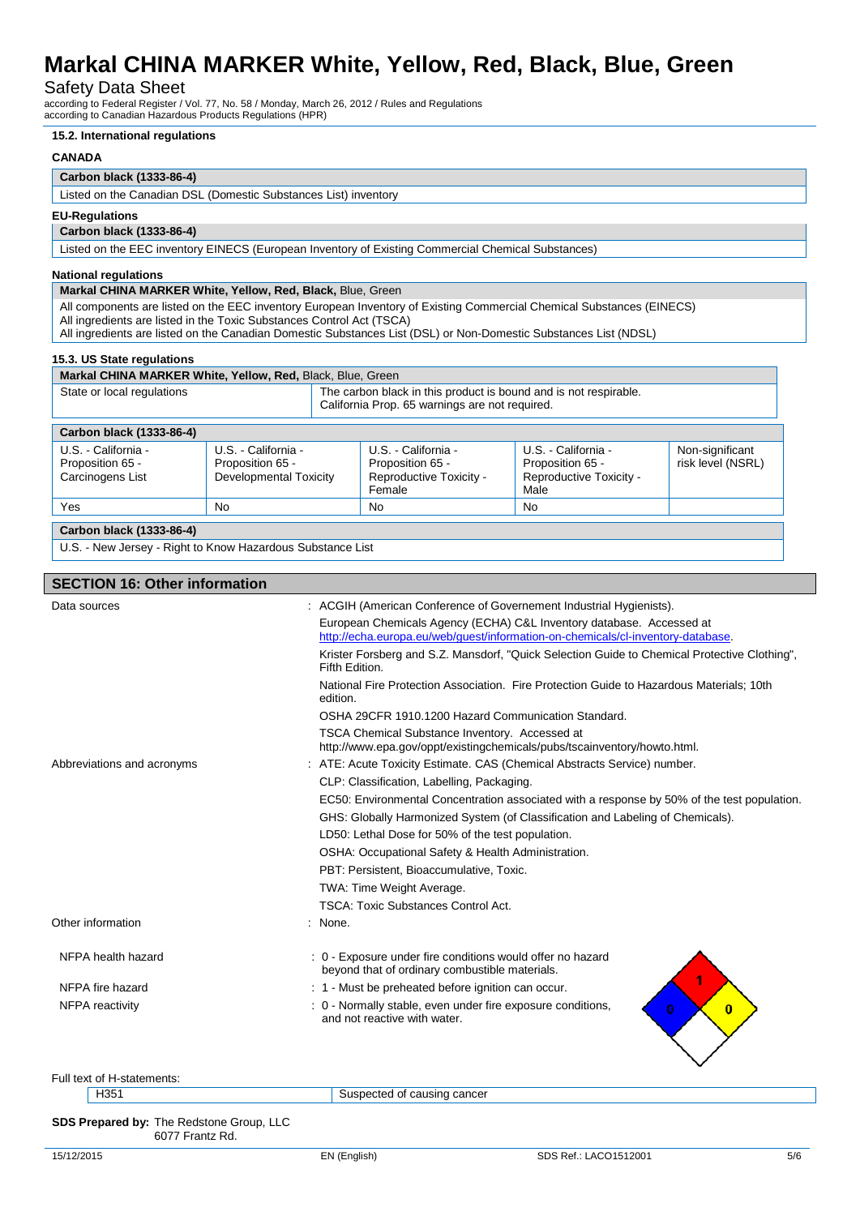### Safety Data Sheet

according to Federal Register / Vol. 77, No. 58 / Monday, March 26, 2012 / Rules and Regulations according to Canadian Hazardous Products Regulations (HPR)

#### **15.2. International regulations**

#### **CANADA**

#### **Carbon black (1333-86-4)**

Listed on the Canadian DSL (Domestic Substances List) inventory

#### **EU-Regulations**

**Carbon black (1333-86-4)**

Listed on the EEC inventory EINECS (European Inventory of Existing Commercial Chemical Substances)

#### **National regulations**

#### **Markal CHINA MARKER White, Yellow, Red, Black,** Blue, Green

All components are listed on the EEC inventory European Inventory of Existing Commercial Chemical Substances (EINECS) All ingredients are listed in the Toxic Substances Control Act (TSCA)

All ingredients are listed on the Canadian Domestic Substances List (DSL) or Non-Domestic Substances List (NDSL)

#### **15.3. US State regulations**

**Markal CHINA MARKER White, Yellow, Red, Black, Blue, Green** 

| State or local regulations                                  |                                                                   | The carbon black in this product is bound and is not respirable.<br>California Prop. 65 warnings are not required. |                                                                            |                                      |
|-------------------------------------------------------------|-------------------------------------------------------------------|--------------------------------------------------------------------------------------------------------------------|----------------------------------------------------------------------------|--------------------------------------|
| Carbon black (1333-86-4)                                    |                                                                   |                                                                                                                    |                                                                            |                                      |
| U.S. - California -<br>Proposition 65 -<br>Carcinogens List | U.S. - California -<br>Proposition 65 -<br>Developmental Toxicity | U.S. - California -<br>Proposition 65 -<br>Reproductive Toxicity -<br>Female                                       | U.S. - California -<br>Proposition 65 -<br>Reproductive Toxicity -<br>Male | Non-significant<br>risk level (NSRL) |
| Yes                                                         | No                                                                | No                                                                                                                 | <b>No</b>                                                                  |                                      |
| Carbon black (1333-86-4)                                    |                                                                   |                                                                                                                    |                                                                            |                                      |

U.S. - New Jersey - Right to Know Hazardous Substance List

#### **SECTION 16: Other information**

| : ACGIH (American Conference of Governement Industrial Hygienists).<br>Data sources |                                                                                                                                                         |
|-------------------------------------------------------------------------------------|---------------------------------------------------------------------------------------------------------------------------------------------------------|
|                                                                                     | European Chemicals Agency (ECHA) C&L Inventory database. Accessed at<br>http://echa.europa.eu/web/quest/information-on-chemicals/cl-inventory-database. |
|                                                                                     | Krister Forsberg and S.Z. Mansdorf, "Quick Selection Guide to Chemical Protective Clothing",<br>Fifth Edition.                                          |
|                                                                                     | National Fire Protection Association. Fire Protection Guide to Hazardous Materials: 10th<br>edition.                                                    |
|                                                                                     | OSHA 29CFR 1910.1200 Hazard Communication Standard.                                                                                                     |
|                                                                                     | TSCA Chemical Substance Inventory. Accessed at<br>http://www.epa.gov/oppt/existingchemicals/pubs/tscainventory/howto.html.                              |
| Abbreviations and acronyms                                                          | : ATE: Acute Toxicity Estimate. CAS (Chemical Abstracts Service) number.                                                                                |
|                                                                                     | CLP: Classification, Labelling, Packaging.                                                                                                              |
|                                                                                     | EC50: Environmental Concentration associated with a response by 50% of the test population.                                                             |
|                                                                                     | GHS: Globally Harmonized System (of Classification and Labeling of Chemicals).                                                                          |
|                                                                                     | LD50: Lethal Dose for 50% of the test population.                                                                                                       |
|                                                                                     | OSHA: Occupational Safety & Health Administration.                                                                                                      |
|                                                                                     | PBT: Persistent, Bioaccumulative, Toxic.                                                                                                                |
|                                                                                     | TWA: Time Weight Average.                                                                                                                               |
|                                                                                     | <b>TSCA: Toxic Substances Control Act.</b>                                                                                                              |
| Other information                                                                   | None.                                                                                                                                                   |
| NFPA health hazard                                                                  | : 0 - Exposure under fire conditions would offer no hazard<br>beyond that of ordinary combustible materials.                                            |
| NFPA fire hazard                                                                    | : 1 - Must be preheated before ignition can occur.                                                                                                      |
| <b>NFPA</b> reactivity                                                              | : 0 - Normally stable, even under fire exposure conditions,<br>$\bf{0}$<br>$\bf{0}$<br>and not reactive with water.                                     |
|                                                                                     |                                                                                                                                                         |
| Full text of H-statements:                                                          |                                                                                                                                                         |
| H351                                                                                | Suspected of causing cancer                                                                                                                             |
|                                                                                     |                                                                                                                                                         |
| SDS Prepared by: The Redstone Group, LLC<br>6077 Frantz Rd.                         |                                                                                                                                                         |